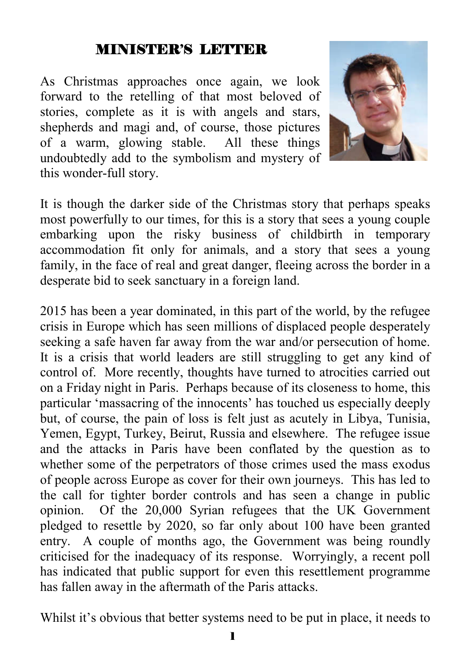#### MINISTER'S LETTER

As Christmas approaches once again, we look forward to the retelling of that most beloved of stories, complete as it is with angels and stars, shepherds and magi and, of course, those pictures of a warm, glowing stable. All these things undoubtedly add to the symbolism and mystery of this wonder-full story.



It is though the darker side of the Christmas story that perhaps speaks most powerfully to our times, for this is a story that sees a young couple embarking upon the risky business of childbirth in temporary accommodation fit only for animals, and a story that sees a young family, in the face of real and great danger, fleeing across the border in a desperate bid to seek sanctuary in a foreign land.

2015 has been a year dominated, in this part of the world, by the refugee crisis in Europe which has seen millions of displaced people desperately seeking a safe haven far away from the war and/or persecution of home. It is a crisis that world leaders are still struggling to get any kind of control of. More recently, thoughts have turned to atrocities carried out on a Friday night in Paris. Perhaps because of its closeness to home, this particular 'massacring of the innocents' has touched us especially deeply but, of course, the pain of loss is felt just as acutely in Libya, Tunisia, Yemen, Egypt, Turkey, Beirut, Russia and elsewhere. The refugee issue and the attacks in Paris have been conflated by the question as to whether some of the perpetrators of those crimes used the mass exodus of people across Europe as cover for their own journeys. This has led to the call for tighter border controls and has seen a change in public opinion. Of the 20,000 Syrian refugees that the UK Government pledged to resettle by 2020, so far only about 100 have been granted entry. A couple of months ago, the Government was being roundly criticised for the inadequacy of its response. Worryingly, a recent poll has indicated that public support for even this resettlement programme has fallen away in the aftermath of the Paris attacks.

Whilst it's obvious that better systems need to be put in place, it needs to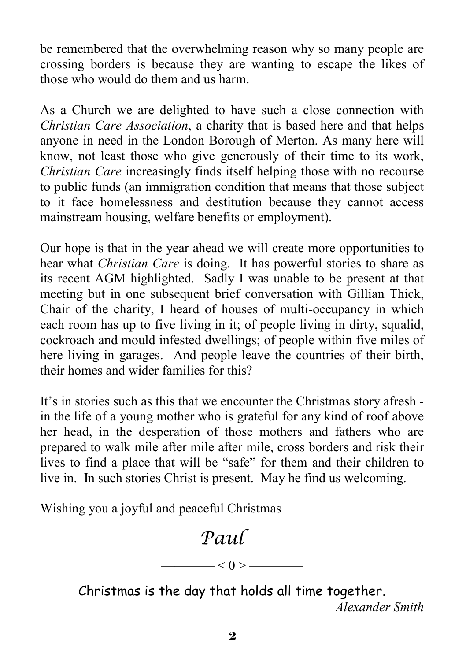be remembered that the overwhelming reason why so many people are crossing borders is because they are wanting to escape the likes of those who would do them and us harm.

As a Church we are delighted to have such a close connection with *Christian Care Association*, a charity that is based here and that helps anyone in need in the London Borough of Merton. As many here will know, not least those who give generously of their time to its work, *Christian Care* increasingly finds itself helping those with no recourse to public funds (an immigration condition that means that those subject to it face homelessness and destitution because they cannot access mainstream housing, welfare benefits or employment).

Our hope is that in the year ahead we will create more opportunities to hear what *Christian Care* is doing. It has powerful stories to share as its recent AGM highlighted. Sadly I was unable to be present at that meeting but in one subsequent brief conversation with Gillian Thick, Chair of the charity, I heard of houses of multi-occupancy in which each room has up to five living in it; of people living in dirty, squalid, cockroach and mould infested dwellings; of people within five miles of here living in garages. And people leave the countries of their birth, their homes and wider families for this?

It's in stories such as this that we encounter the Christmas story afresh in the life of a young mother who is grateful for any kind of roof above her head, in the desperation of those mothers and fathers who are prepared to walk mile after mile after mile, cross borders and risk their lives to find a place that will be "safe" for them and their children to live in. In such stories Christ is present. May he find us welcoming.

Wishing you a joyful and peaceful Christmas

*Paul*   $< 0 >$  —————

Christmas is the day that holds all time together. *Alexander Smith*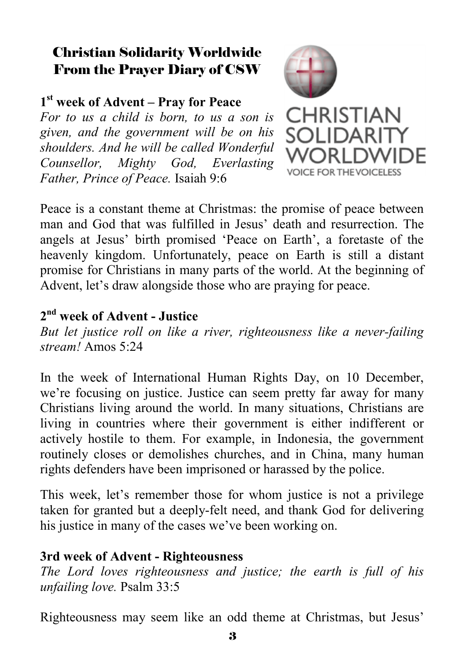# Christian Solidarity Worldwide From the Prayer Diary of CSW

#### **1st week of Advent – Pray for Peace**

*For to us a child is born, to us a son is given, and the government will be on his shoulders. And he will be called Wonderful Counsellor, Mighty God, Everlasting Father, Prince of Peace.* Isaiah 9:6



Peace is a constant theme at Christmas: the promise of peace between man and God that was fulfilled in Jesus' death and resurrection. The angels at Jesus' birth promised 'Peace on Earth', a foretaste of the heavenly kingdom. Unfortunately, peace on Earth is still a distant promise for Christians in many parts of the world. At the beginning of Advent, let's draw alongside those who are praying for peace.

#### **2nd week of Advent - Justice**

*But let justice roll on like a river, righteousness like a never-failing stream!* Amos 5:24

In the week of International Human Rights Day, on 10 December, we're focusing on justice. Justice can seem pretty far away for many Christians living around the world. In many situations, Christians are living in countries where their government is either indifferent or actively hostile to them. For example, in Indonesia, the government routinely closes or demolishes churches, and in China, many human rights defenders have been imprisoned or harassed by the police.

This week, let's remember those for whom justice is not a privilege taken for granted but a deeply-felt need, and thank God for delivering his justice in many of the cases we've been working on.

#### **3rd week of Advent - Righteousness**

*The Lord loves righteousness and justice; the earth is full of his unfailing love.* Psalm 33:5

Righteousness may seem like an odd theme at Christmas, but Jesus'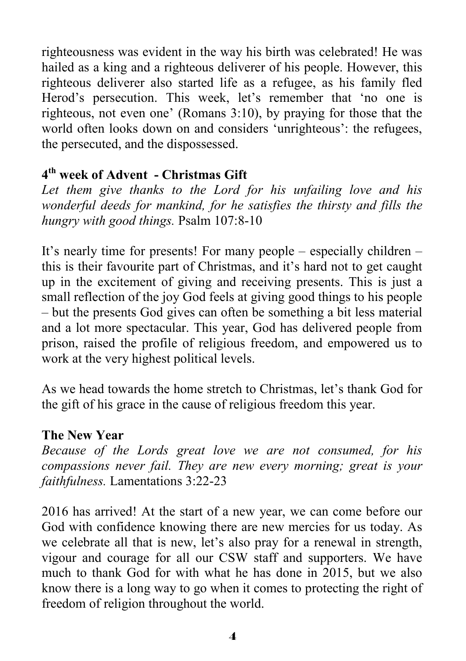righteousness was evident in the way his birth was celebrated! He was hailed as a king and a righteous deliverer of his people. However, this righteous deliverer also started life as a refugee, as his family fled Herod's persecution. This week, let's remember that 'no one is righteous, not even one' (Romans 3:10), by praying for those that the world often looks down on and considers 'unrighteous': the refugees, the persecuted, and the dispossessed.

#### **4th week of Advent - Christmas Gift**

*Let them give thanks to the Lord for his unfailing love and his wonderful deeds for mankind, for he satisfies the thirsty and fills the hungry with good things.* Psalm 107:8-10

It's nearly time for presents! For many people – especially children – this is their favourite part of Christmas, and it's hard not to get caught up in the excitement of giving and receiving presents. This is just a small reflection of the joy God feels at giving good things to his people – but the presents God gives can often be something a bit less material and a lot more spectacular. This year, God has delivered people from prison, raised the profile of religious freedom, and empowered us to work at the very highest political levels.

As we head towards the home stretch to Christmas, let's thank God for the gift of his grace in the cause of religious freedom this year.

#### **The New Year**

*Because of the Lords great love we are not consumed, for his compassions never fail. They are new every morning; great is your faithfulness.* Lamentations 3:22-23

2016 has arrived! At the start of a new year, we can come before our God with confidence knowing there are new mercies for us today. As we celebrate all that is new, let's also pray for a renewal in strength, vigour and courage for all our CSW staff and supporters. We have much to thank God for with what he has done in 2015, but we also know there is a long way to go when it comes to protecting the right of freedom of religion throughout the world.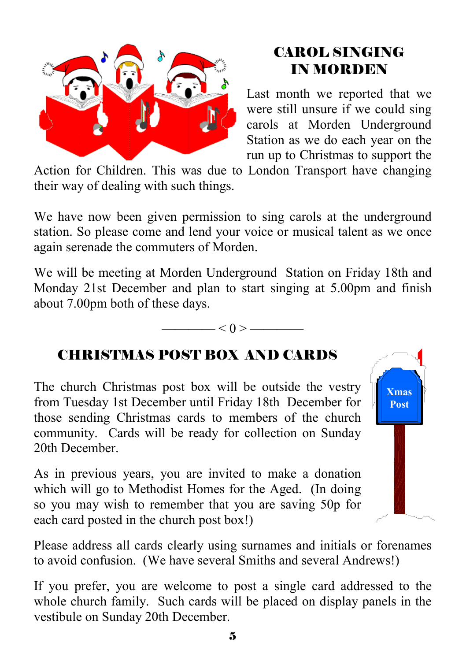

# CAROL SINGING IN MORDEN

Last month we reported that we were still unsure if we could sing carols at Morden Underground Station as we do each year on the run up to Christmas to support the

Action for Children. This was due to London Transport have changing their way of dealing with such things.

We have now been given permission to sing carols at the underground station. So please come and lend your voice or musical talent as we once again serenade the commuters of Morden.

We will be meeting at Morden Underground Station on Friday 18th and Monday 21st December and plan to start singing at 5.00pm and finish about 7.00pm both of these days.

 $-$  < 0 >  $-$ 

# CHRISTMAS POST BOX AND CARDS

The church Christmas post box will be outside the vestry from Tuesday 1st December until Friday 18th December for those sending Christmas cards to members of the church community. Cards will be ready for collection on Sunday 20th December.

As in previous years, you are invited to make a donation which will go to Methodist Homes for the Aged. (In doing so you may wish to remember that you are saving 50p for each card posted in the church post box!)

Please address all cards clearly using surnames and initials or forenames to avoid confusion. (We have several Smiths and several Andrews!)

If you prefer, you are welcome to post a single card addressed to the whole church family. Such cards will be placed on display panels in the vestibule on Sunday 20th December.

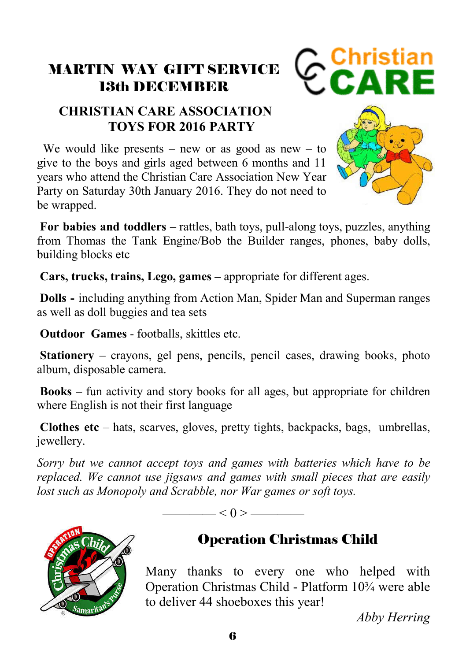# MARTIN WAY GIFT SERVICE 13th DECEMBER



#### **CHRISTIAN CARE ASSOCIATION TOYS FOR 2016 PARTY**

We would like presents – new or as good as new – to give to the boys and girls aged between 6 months and 11 years who attend the Christian Care Association New Year Party on Saturday 30th January 2016. They do not need to be wrapped.



**For babies and toddlers –** rattles, bath toys, pull-along toys, puzzles, anything from Thomas the Tank Engine/Bob the Builder ranges, phones, baby dolls, building blocks etc

**Cars, trucks, trains, Lego, games –** appropriate for different ages.

**Dolls -** including anything from Action Man, Spider Man and Superman ranges as well as doll buggies and tea sets

**Outdoor Games** - footballs, skittles etc.

**Stationery** – crayons, gel pens, pencils, pencil cases, drawing books, photo album, disposable camera.

**Books** – fun activity and story books for all ages, but appropriate for children where English is not their first language

**Clothes etc** – hats, scarves, gloves, pretty tights, backpacks, bags, umbrellas, jewellery.

*Sorry but we cannot accept toys and games with batteries which have to be replaced. We cannot use jigsaws and games with small pieces that are easily lost such as Monopoly and Scrabble, nor War games or soft toys.*

 $\left| \alpha \right| < 0$  >  $\left| \alpha \right|$ 



# Operation Christmas Child

Many thanks to every one who helped with Operation Christmas Child - Platform 10¾ were able to deliver 44 shoeboxes this year!

*Abby Herring*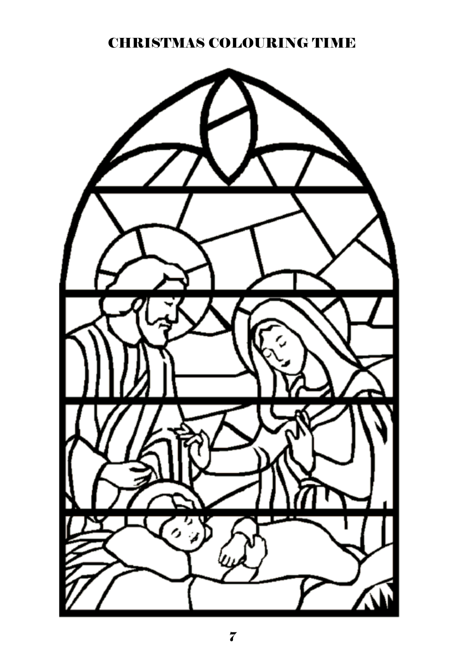CHRISTMAS COLOURING TIME

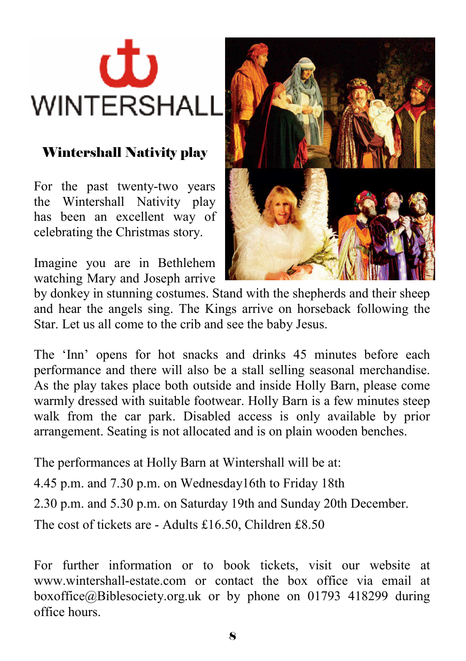# む **WINTERSHALI**

# Wintershall Nativity play

For the past twenty-two years the Wintershall Nativity play has been an excellent way of celebrating the Christmas story.

Imagine you are in Bethlehem watching Mary and Joseph arrive



by donkey in stunning costumes. Stand with the shepherds and their sheep and hear the angels sing. The Kings arrive on horseback following the Star. Let us all come to the crib and see the baby Jesus.

The 'Inn' opens for hot snacks and drinks 45 minutes before each performance and there will also be a stall selling seasonal merchandise. As the play takes place both outside and inside Holly Barn, please come warmly dressed with suitable footwear. Holly Barn is a few minutes steep walk from the car park. Disabled access is only available by prior arrangement. Seating is not allocated and is on plain wooden benches.

The performances at Holly Barn at Wintershall will be at:

4.45 p.m. and 7.30 p.m. on Wednesday16th to Friday 18th

2.30 p.m. and 5.30 p.m. on Saturday 19th and Sunday 20th December.

The cost of tickets are - Adults £16.50, Children £8.50

For further information or to book tickets, visit our website at www.wintershall-estate.com or contact the box office via email at boxoffice@Biblesociety.org.uk or by phone on 01793 418299 during office hours.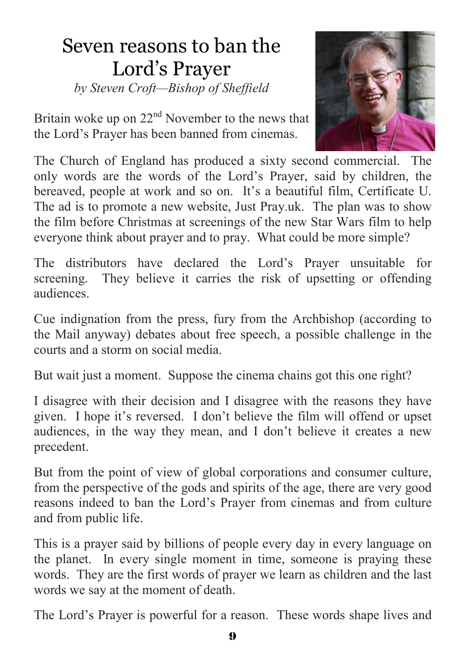# Seven reasons to ban the Lord's Prayer

*by Steven Croft—Bishop of Sheffield*

Britain woke up on  $22<sup>nd</sup>$  November to the news that the Lord's Prayer has been banned from cinemas.



The Church of England has produced a sixty second commercial. The only words are the words of the Lord's Prayer, said by children, the bereaved, people at work and so on. It's a beautiful film, Certificate U. The ad is to promote a new website, Just Pray.uk. The plan was to show the film before Christmas at screenings of the new Star Wars film to help everyone think about prayer and to pray. What could be more simple?

The distributors have declared the Lord's Prayer unsuitable for screening. They believe it carries the risk of upsetting or offending audiences.

Cue indignation from the press, fury from the Archbishop (according to the Mail anyway) debates about free speech, a possible challenge in the courts and a storm on social media.

But wait just a moment. Suppose the cinema chains got this one right?

I disagree with their decision and I disagree with the reasons they have given. I hope it's reversed. I don't believe the film will offend or upset audiences, in the way they mean, and I don't believe it creates a new precedent.

But from the point of view of global corporations and consumer culture, from the perspective of the gods and spirits of the age, there are very good reasons indeed to ban the Lord's Prayer from cinemas and from culture and from public life.

This is a prayer said by billions of people every day in every language on the planet. In every single moment in time, someone is praying these words. They are the first words of prayer we learn as children and the last words we say at the moment of death.

The Lord's Prayer is powerful for a reason. These words shape lives and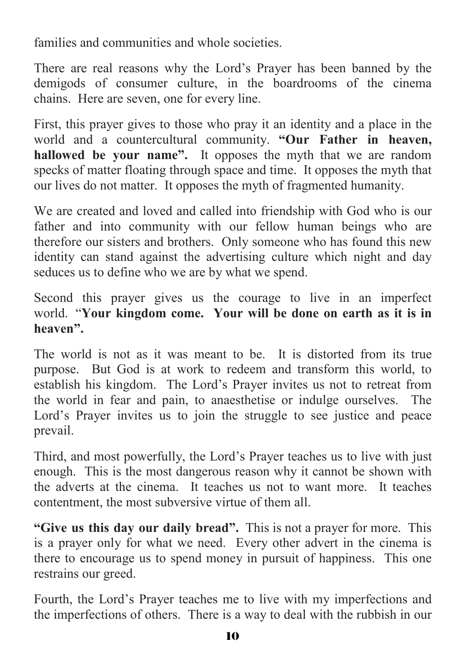families and communities and whole societies.

There are real reasons why the Lord's Prayer has been banned by the demigods of consumer culture, in the boardrooms of the cinema chains. Here are seven, one for every line.

First, this prayer gives to those who pray it an identity and a place in the world and a countercultural community. **"Our Father in heaven,**  hallowed be your name". It opposes the myth that we are random specks of matter floating through space and time. It opposes the myth that our lives do not matter. It opposes the myth of fragmented humanity.

We are created and loved and called into friendship with God who is our father and into community with our fellow human beings who are therefore our sisters and brothers. Only someone who has found this new identity can stand against the advertising culture which night and day seduces us to define who we are by what we spend.

Second this prayer gives us the courage to live in an imperfect world. "**Your kingdom come. Your will be done on earth as it is in heaven".**

The world is not as it was meant to be. It is distorted from its true purpose. But God is at work to redeem and transform this world, to establish his kingdom. The Lord's Prayer invites us not to retreat from the world in fear and pain, to anaesthetise or indulge ourselves. The Lord's Prayer invites us to join the struggle to see justice and peace prevail.

Third, and most powerfully, the Lord's Prayer teaches us to live with just enough. This is the most dangerous reason why it cannot be shown with the adverts at the cinema. It teaches us not to want more. It teaches contentment, the most subversive virtue of them all.

**"Give us this day our daily bread".** This is not a prayer for more. This is a prayer only for what we need. Every other advert in the cinema is there to encourage us to spend money in pursuit of happiness. This one restrains our greed.

Fourth, the Lord's Prayer teaches me to live with my imperfections and the imperfections of others. There is a way to deal with the rubbish in our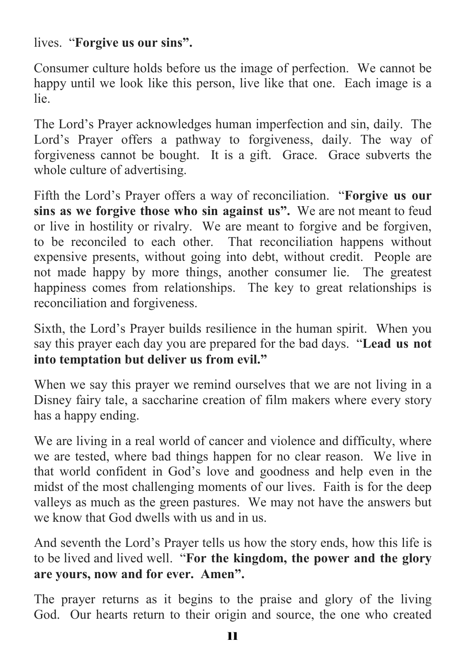#### lives. "**Forgive us our sins".**

Consumer culture holds before us the image of perfection. We cannot be happy until we look like this person, live like that one. Each image is a lie.

The Lord's Prayer acknowledges human imperfection and sin, daily. The Lord's Prayer offers a pathway to forgiveness, daily. The way of forgiveness cannot be bought. It is a gift. Grace. Grace subverts the whole culture of advertising.

Fifth the Lord's Prayer offers a way of reconciliation. "**Forgive us our sins as we forgive those who sin against us".** We are not meant to feud or live in hostility or rivalry. We are meant to forgive and be forgiven, to be reconciled to each other. That reconciliation happens without expensive presents, without going into debt, without credit. People are not made happy by more things, another consumer lie. The greatest happiness comes from relationships. The key to great relationships is reconciliation and forgiveness.

Sixth, the Lord's Prayer builds resilience in the human spirit. When you say this prayer each day you are prepared for the bad days. "**Lead us not into temptation but deliver us from evil."**

When we say this prayer we remind ourselves that we are not living in a Disney fairy tale, a saccharine creation of film makers where every story has a happy ending.

We are living in a real world of cancer and violence and difficulty, where we are tested, where bad things happen for no clear reason. We live in that world confident in God's love and goodness and help even in the midst of the most challenging moments of our lives. Faith is for the deep valleys as much as the green pastures. We may not have the answers but we know that God dwells with us and in us.

And seventh the Lord's Prayer tells us how the story ends, how this life is to be lived and lived well. "**For the kingdom, the power and the glory are yours, now and for ever. Amen".**

The prayer returns as it begins to the praise and glory of the living God. Our hearts return to their origin and source, the one who created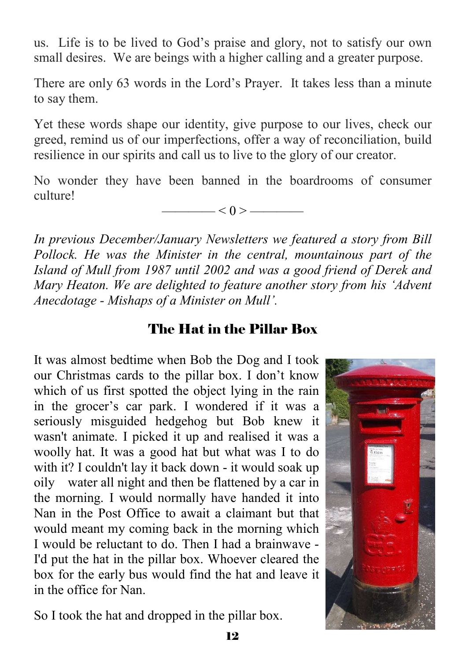us. Life is to be lived to God's praise and glory, not to satisfy our own small desires. We are beings with a higher calling and a greater purpose.

There are only 63 words in the Lord's Prayer. It takes less than a minute to say them.

Yet these words shape our identity, give purpose to our lives, check our greed, remind us of our imperfections, offer a way of reconciliation, build resilience in our spirits and call us to live to the glory of our creator.

No wonder they have been banned in the boardrooms of consumer culture!

—— $< 0 >$ ————

*In previous December/January Newsletters we featured a story from Bill Pollock. He was the Minister in the central, mountainous part of the Island of Mull from 1987 until 2002 and was a good friend of Derek and Mary Heaton. We are delighted to feature another story from his 'Advent Anecdotage - Mishaps of a Minister on Mull'.* 

#### The Hat in the Pillar Box

It was almost bedtime when Bob the Dog and I took our Christmas cards to the pillar box. I don't know which of us first spotted the object lying in the rain in the grocer's car park. I wondered if it was a seriously misguided hedgehog but Bob knew it wasn't animate. I picked it up and realised it was a woolly hat. It was a good hat but what was I to do with it? I couldn't lay it back down - it would soak up oily water all night and then be flattened by a car in the morning. I would normally have handed it into Nan in the Post Office to await a claimant but that would meant my coming back in the morning which I would be reluctant to do. Then I had a brainwave - I'd put the hat in the pillar box. Whoever cleared the box for the early bus would find the hat and leave it in the office for Nan.



So I took the hat and dropped in the pillar box.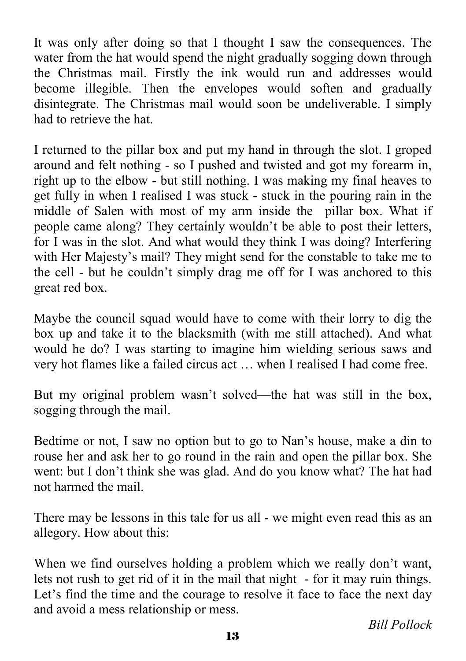It was only after doing so that I thought I saw the consequences. The water from the hat would spend the night gradually sogging down through the Christmas mail. Firstly the ink would run and addresses would become illegible. Then the envelopes would soften and gradually disintegrate. The Christmas mail would soon be undeliverable. I simply had to retrieve the hat.

I returned to the pillar box and put my hand in through the slot. I groped around and felt nothing - so I pushed and twisted and got my forearm in, right up to the elbow - but still nothing. I was making my final heaves to get fully in when I realised I was stuck - stuck in the pouring rain in the middle of Salen with most of my arm inside the pillar box. What if people came along? They certainly wouldn't be able to post their letters, for I was in the slot. And what would they think I was doing? Interfering with Her Majesty's mail? They might send for the constable to take me to the cell - but he couldn't simply drag me off for I was anchored to this great red box.

Maybe the council squad would have to come with their lorry to dig the box up and take it to the blacksmith (with me still attached). And what would he do? I was starting to imagine him wielding serious saws and very hot flames like a failed circus act … when I realised I had come free.

But my original problem wasn't solved—the hat was still in the box, sogging through the mail.

Bedtime or not, I saw no option but to go to Nan's house, make a din to rouse her and ask her to go round in the rain and open the pillar box. She went: but I don't think she was glad. And do you know what? The hat had not harmed the mail.

There may be lessons in this tale for us all - we might even read this as an allegory. How about this:

When we find ourselves holding a problem which we really don't want, lets not rush to get rid of it in the mail that night - for it may ruin things. Let's find the time and the courage to resolve it face to face the next day and avoid a mess relationship or mess.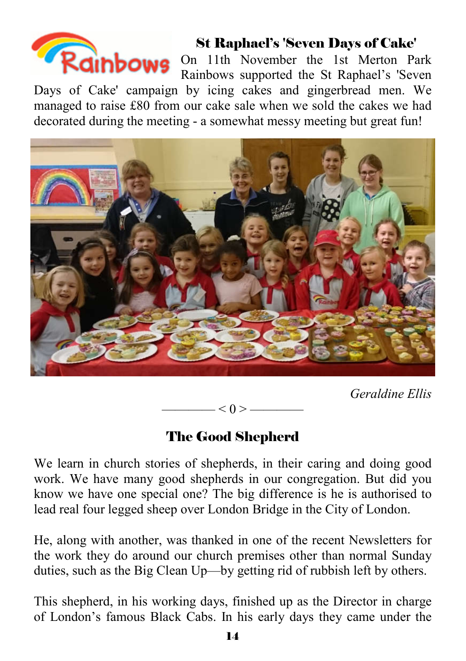

#### St Raphael's 'Seven Days of Cake'

On 11th November the 1st Merton Park Rainbows supported the St Raphael's 'Seven

Days of Cake' campaign by icing cakes and gingerbread men. We managed to raise £80 from our cake sale when we sold the cakes we had decorated during the meeting - a somewhat messy meeting but great fun!



*Geraldine Ellis*

# $-< 0 > -$ The Good Shepherd

We learn in church stories of shepherds, in their caring and doing good work. We have many good shepherds in our congregation. But did you know we have one special one? The big difference is he is authorised to lead real four legged sheep over London Bridge in the City of London.

He, along with another, was thanked in one of the recent Newsletters for the work they do around our church premises other than normal Sunday duties, such as the Big Clean Up—by getting rid of rubbish left by others.

This shepherd, in his working days, finished up as the Director in charge of London's famous Black Cabs. In his early days they came under the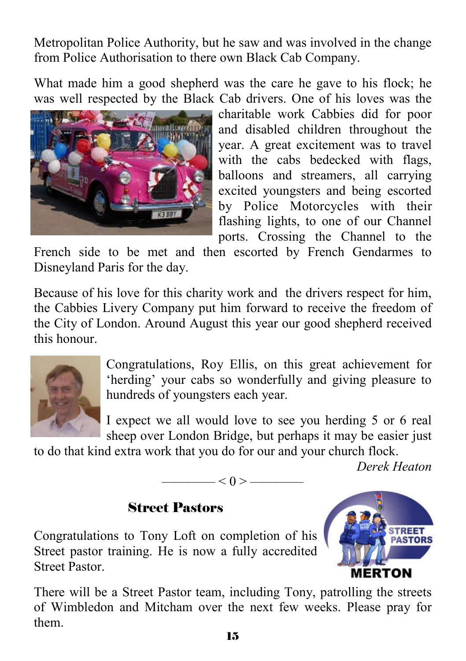Metropolitan Police Authority, but he saw and was involved in the change from Police Authorisation to there own Black Cab Company.

What made him a good shepherd was the care he gave to his flock; he was well respected by the Black Cab drivers. One of his loves was the



charitable work Cabbies did for poor and disabled children throughout the year. A great excitement was to travel with the cabs bedecked with flags, balloons and streamers, all carrying excited youngsters and being escorted by Police Motorcycles with their flashing lights, to one of our Channel ports. Crossing the Channel to the

French side to be met and then escorted by French Gendarmes to Disneyland Paris for the day.

Because of his love for this charity work and the drivers respect for him, the Cabbies Livery Company put him forward to receive the freedom of the City of London. Around August this year our good shepherd received this honour.



Congratulations, Roy Ellis, on this great achievement for 'herding' your cabs so wonderfully and giving pleasure to hundreds of youngsters each year.

I expect we all would love to see you herding 5 or 6 real sheep over London Bridge, but perhaps it may be easier just

to do that kind extra work that you do for our and your church flock.

—— $< 0 >$ —

*Derek Heaton*

#### Street Pastors

Congratulations to Tony Loft on completion of his Street pastor training. He is now a fully accredited Street Pastor.



There will be a Street Pastor team, including Tony, patrolling the streets of Wimbledon and Mitcham over the next few weeks. Please pray for them.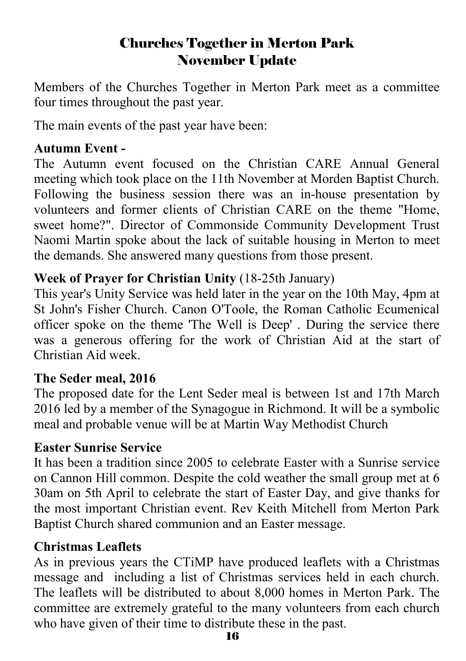# Churches Together in Merton Park November Update

Members of the Churches Together in Merton Park meet as a committee four times throughout the past year.

The main events of the past year have been:

#### **Autumn Event -**

The Autumn event focused on the Christian CARE Annual General meeting which took place on the 11th November at Morden Baptist Church. Following the business session there was an in-house presentation by volunteers and former clients of Christian CARE on the theme "Home, sweet home?". Director of Commonside Community Development Trust Naomi Martin spoke about the lack of suitable housing in Merton to meet the demands. She answered many questions from those present.

#### **Week of Prayer for Christian Unity** (18-25th January)

This year's Unity Service was held later in the year on the 10th May, 4pm at St John's Fisher Church. Canon O'Toole, the Roman Catholic Ecumenical officer spoke on the theme 'The Well is Deep' . During the service there was a generous offering for the work of Christian Aid at the start of Christian Aid week.

#### **The Seder meal, 2016**

The proposed date for the Lent Seder meal is between 1st and 17th March 2016 led by a member of the Synagogue in Richmond. It will be a symbolic meal and probable venue will be at Martin Way Methodist Church

#### **Easter Sunrise Service**

It has been a tradition since 2005 to celebrate Easter with a Sunrise service on Cannon Hill common. Despite the cold weather the small group met at 6 30am on 5th April to celebrate the start of Easter Day, and give thanks for the most important Christian event. Rev Keith Mitchell from Merton Park Baptist Church shared communion and an Easter message.

#### **Christmas Leaflets**

As in previous years the CTiMP have produced leaflets with a Christmas message and including a list of Christmas services held in each church. The leaflets will be distributed to about 8,000 homes in Merton Park. The committee are extremely grateful to the many volunteers from each church who have given of their time to distribute these in the past.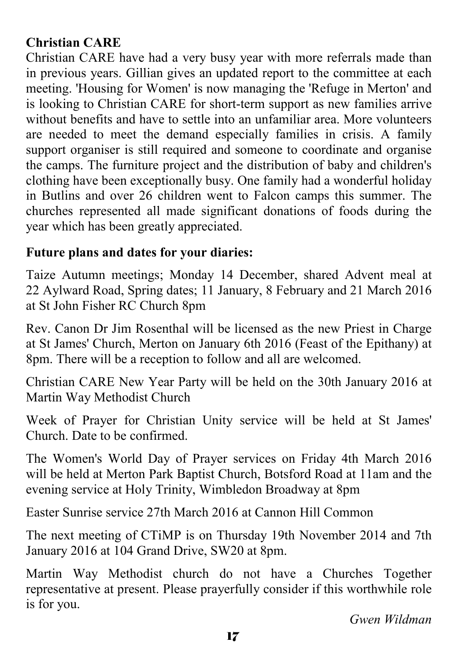#### **Christian CARE**

Christian CARE have had a very busy year with more referrals made than in previous years. Gillian gives an updated report to the committee at each meeting. 'Housing for Women' is now managing the 'Refuge in Merton' and is looking to Christian CARE for short-term support as new families arrive without benefits and have to settle into an unfamiliar area. More volunteers are needed to meet the demand especially families in crisis. A family support organiser is still required and someone to coordinate and organise the camps. The furniture project and the distribution of baby and children's clothing have been exceptionally busy. One family had a wonderful holiday in Butlins and over 26 children went to Falcon camps this summer. The churches represented all made significant donations of foods during the year which has been greatly appreciated.

#### **Future plans and dates for your diaries:**

Taize Autumn meetings; Monday 14 December, shared Advent meal at 22 Aylward Road, Spring dates; 11 January, 8 February and 21 March 2016 at St John Fisher RC Church 8pm

Rev. Canon Dr Jim Rosenthal will be licensed as the new Priest in Charge at St James' Church, Merton on January 6th 2016 (Feast of the Epithany) at 8pm. There will be a reception to follow and all are welcomed.

Christian CARE New Year Party will be held on the 30th January 2016 at Martin Way Methodist Church

Week of Prayer for Christian Unity service will be held at St James' Church. Date to be confirmed.

The Women's World Day of Prayer services on Friday 4th March 2016 will be held at Merton Park Baptist Church, Botsford Road at 11am and the evening service at Holy Trinity, Wimbledon Broadway at 8pm

Easter Sunrise service 27th March 2016 at Cannon Hill Common

The next meeting of CTiMP is on Thursday 19th November 2014 and 7th January 2016 at 104 Grand Drive, SW20 at 8pm.

Martin Way Methodist church do not have a Churches Together representative at present. Please prayerfully consider if this worthwhile role is for you.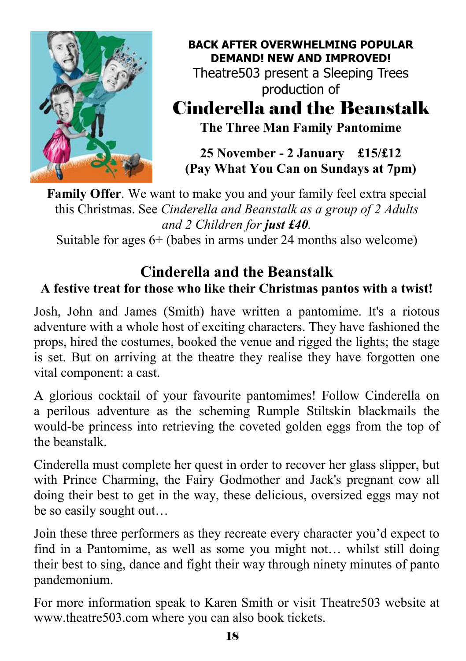

**BACK AFTER OVERWHELMING POPULAR DEMAND! NEW AND IMPROVED!** Theatre503 present a Sleeping Trees production of Cinderella and the Beanstalk

**The Three Man Family Pantomime**

**25 November - 2 January £15/£12 (Pay What You Can on Sundays at 7pm)**

**Family Offer**. We want to make you and your family feel extra special this Christmas. See *Cinderella and Beanstalk as a group of 2 Adults and 2 Children for just £40.*

Suitable for ages 6+ (babes in arms under 24 months also welcome)

#### **Cinderella and the Beanstalk A festive treat for those who like their Christmas pantos with a twist!**

Josh, John and James (Smith) have written a pantomime. It's a riotous adventure with a whole host of exciting characters. They have fashioned the props, hired the costumes, booked the venue and rigged the lights; the stage is set. But on arriving at the theatre they realise they have forgotten one vital component: a cast.

A glorious cocktail of your favourite pantomimes! Follow Cinderella on a perilous adventure as the scheming Rumple Stiltskin blackmails the would-be princess into retrieving the coveted golden eggs from the top of the beanstalk.

Cinderella must complete her quest in order to recover her glass slipper, but with Prince Charming, the Fairy Godmother and Jack's pregnant cow all doing their best to get in the way, these delicious, oversized eggs may not be so easily sought out…

Join these three performers as they recreate every character you'd expect to find in a Pantomime, as well as some you might not… whilst still doing their best to sing, dance and fight their way through ninety minutes of panto pandemonium.

For more information speak to Karen Smith or visit Theatre503 website at www.theatre503.com where you can also book tickets.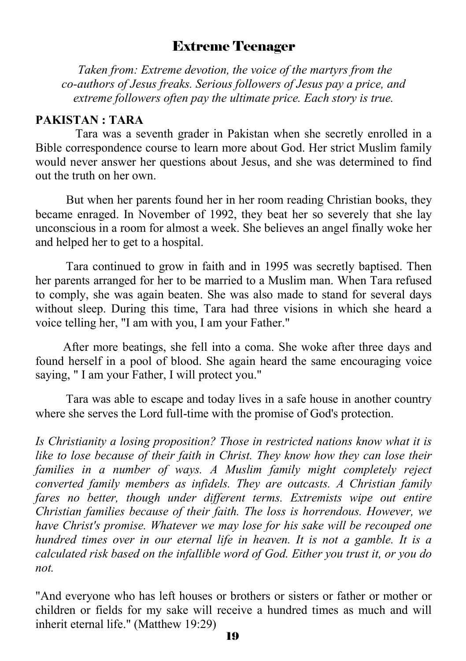#### Extreme Teenager

 *Taken from: Extreme devotion, the voice of the martyrs from the co-authors of Jesus freaks. Serious followers of Jesus pay a price, and extreme followers often pay the ultimate price. Each story is true.*

#### **PAKISTAN : TARA**

Tara was a seventh grader in Pakistan when she secretly enrolled in a Bible correspondence course to learn more about God. Her strict Muslim family would never answer her questions about Jesus, and she was determined to find out the truth on her own.

 But when her parents found her in her room reading Christian books, they became enraged. In November of 1992, they beat her so severely that she lay unconscious in a room for almost a week. She believes an angel finally woke her and helped her to get to a hospital.

 Tara continued to grow in faith and in 1995 was secretly baptised. Then her parents arranged for her to be married to a Muslim man. When Tara refused to comply, she was again beaten. She was also made to stand for several days without sleep. During this time, Tara had three visions in which she heard a voice telling her, "I am with you, I am your Father."

 After more beatings, she fell into a coma. She woke after three days and found herself in a pool of blood. She again heard the same encouraging voice saying, " I am your Father, I will protect you."

 Tara was able to escape and today lives in a safe house in another country where she serves the Lord full-time with the promise of God's protection.

*Is Christianity a losing proposition? Those in restricted nations know what it is like to lose because of their faith in Christ. They know how they can lose their families in a number of ways. A Muslim family might completely reject converted family members as infidels. They are outcasts. A Christian family fares no better, though under different terms. Extremists wipe out entire Christian families because of their faith. The loss is horrendous. However, we have Christ's promise. Whatever we may lose for his sake will be recouped one hundred times over in our eternal life in heaven. It is not a gamble. It is a calculated risk based on the infallible word of God. Either you trust it, or you do not.*

"And everyone who has left houses or brothers or sisters or father or mother or children or fields for my sake will receive a hundred times as much and will inherit eternal life." (Matthew 19:29)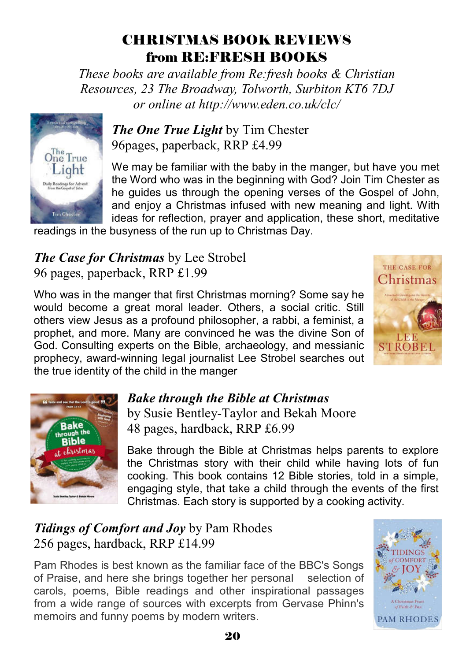# CHRISTMAS BOOK REVIEWS from RE:FRESH BOOKS

*These books are available from Re:fresh books & Christian Resources, 23 The Broadway, Tolworth, Surbiton KT6 7DJ or online at http://www.eden.co.uk/clc/*



# *The One True Light* by Tim Chester 96pages, paperback, RRP £4.99

We may be familiar with the baby in the manger, but have you met the Word who was in the beginning with God? Join Tim Chester as he guides us through the opening verses of the Gospel of John, and enjoy a Christmas infused with new meaning and light. With ideas for reflection, prayer and application, these short, meditative

readings in the busyness of the run up to Christmas Day.

#### *The Case for Christmas* by Lee Strobel 96 pages, paperback, RRP £1.99

Who was in the manger that first Christmas morning? Some say he would become a great moral leader. Others, a social critic. Still others view Jesus as a profound philosopher, a rabbi, a feminist, a prophet, and more. Many are convinced he was the divine Son of God. Consulting experts on the Bible, archaeology, and messianic prophecy, award-winning legal journalist Lee Strobel searches out the true identity of the child in the manger





# *Bake through the Bible at Christmas*

by Susie Bentley-Taylor and Bekah Moore 48 pages, hardback, RRP £6.99

Bake through the Bible at Christmas helps parents to explore the Christmas story with their child while having lots of fun cooking. This book contains 12 Bible stories, told in a simple, engaging style, that take a child through the events of the first Christmas. Each story is supported by a cooking activity.

#### *Tidings of Comfort and Joy* by Pam Rhodes 256 pages, hardback, RRP £14.99

Pam Rhodes is best known as the familiar face of the BBC's Songs of Praise, and here she brings together her personal selection of carols, poems, Bible readings and other inspirational passages from a wide range of sources with excerpts from Gervase Phinn's memoirs and funny poems by modern writers.

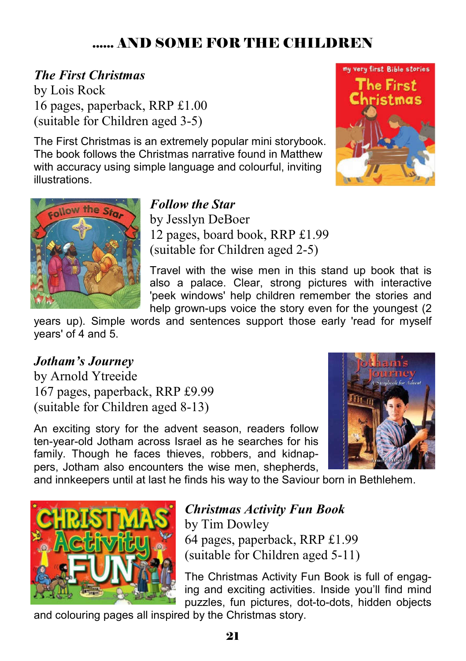# ...... AND SOME FOR THE CHILDREN

#### *The First Christmas*

by Lois Rock 16 pages, paperback, RRP £1.00 (suitable for Children aged 3-5)

The First Christmas is an extremely popular mini storybook. The book follows the Christmas narrative found in Matthew with accuracy using simple language and colourful, inviting illustrations.





#### *Follow the Star*

by Jesslyn DeBoer 12 pages, board book, RRP £1.99 (suitable for Children aged 2-5)

Travel with the wise men in this stand up book that is also a palace. Clear, strong pictures with interactive 'peek windows' help children remember the stories and help grown-ups voice the story even for the youngest (2

years up). Simple words and sentences support those early 'read for myself years' of 4 and 5.

#### *Jotham's Journey*

by Arnold Ytreeide 167 pages, paperback, RRP £9.99 (suitable for Children aged 8-13)

An exciting story for the advent season, readers follow ten-year-old Jotham across Israel as he searches for his family. Though he faces thieves, robbers, and kidnappers, Jotham also encounters the wise men, shepherds,



and innkeepers until at last he finds his way to the Saviour born in Bethlehem.



*Christmas Activity Fun Book* by Tim Dowley 64 pages, paperback, RRP £1.99 (suitable for Children aged 5-11)

The Christmas Activity Fun Book is full of engaging and exciting activities. Inside you'll find mind puzzles, fun pictures, dot-to-dots, hidden objects

and colouring pages all inspired by the Christmas story.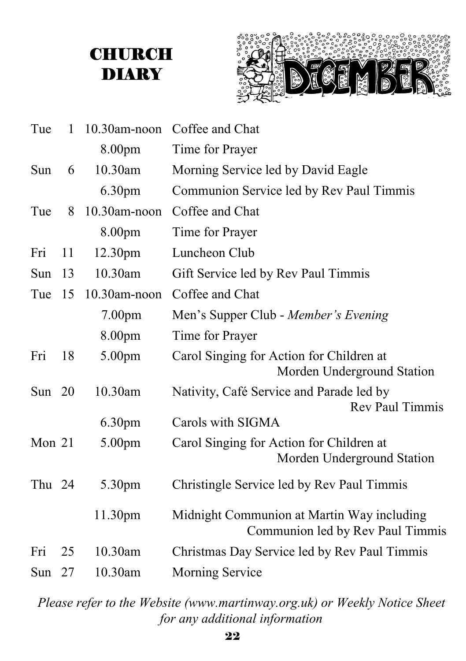# **CHURCH** DIARY



| Tue      | $\mathbf{1}$ | $10.30$ am-noon    | Coffee and Chat                                                                |
|----------|--------------|--------------------|--------------------------------------------------------------------------------|
|          |              | 8.00pm             | Time for Prayer                                                                |
| Sun      | 6            | 10.30am            | Morning Service led by David Eagle                                             |
|          |              | 6.30pm             | Communion Service led by Rev Paul Timmis                                       |
| Tue      | 8            | $10.30$ am-noon    | Coffee and Chat                                                                |
|          |              | 8.00pm             | Time for Prayer                                                                |
| Fri      | 11           | 12.30pm            | Luncheon Club                                                                  |
| Sun      | 13           | 10.30am            | Gift Service led by Rev Paul Timmis                                            |
| Tue      | 15           | $10.30$ am-noon    | Coffee and Chat                                                                |
|          |              | 7.00 <sub>pm</sub> | Men's Supper Club - Member's Evening                                           |
|          |              | 8.00pm             | Time for Prayer                                                                |
| Fri      | 18           | 5.00pm             | Carol Singing for Action for Children at<br>Morden Underground Station         |
| Sun $20$ |              | 10.30am            | Nativity, Café Service and Parade led by<br><b>Rev Paul Timmis</b>             |
|          |              | 6.30pm             | Carols with SIGMA                                                              |
| Mon 21   |              | 5.00pm             | Carol Singing for Action for Children at<br>Morden Underground Station         |
| Thu 24   |              | 5.30pm             | Christingle Service led by Rev Paul Timmis                                     |
|          |              | 11.30pm            | Midnight Communion at Martin Way including<br>Communion led by Rev Paul Timmis |
| Fri      | 25           | 10.30am            | Christmas Day Service led by Rev Paul Timmis                                   |
| Sun $27$ |              | 10.30am            | <b>Morning Service</b>                                                         |

*Please refer to the Website (www.martinway.org.uk) or Weekly Notice Sheet for any additional information*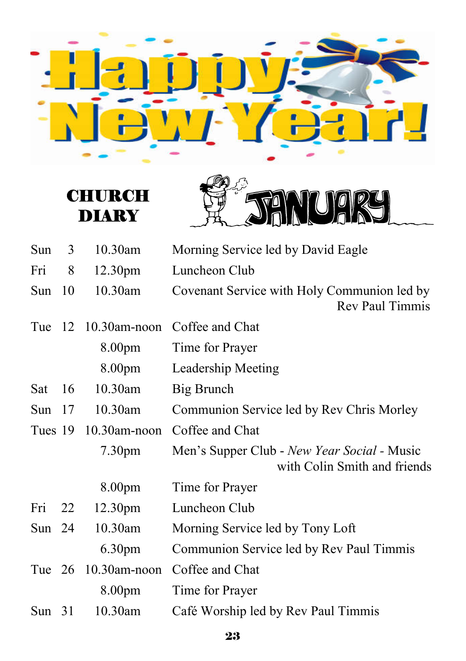

**CHURCH DIARY** 



| Sun      | 3  | 10.30am                  | Morning Service led by David Eagle                                          |
|----------|----|--------------------------|-----------------------------------------------------------------------------|
| Fri      | 8  | 12.30pm                  | Luncheon Club                                                               |
| Sun      | 10 | 10.30am                  | Covenant Service with Holy Communion led by<br><b>Rev Paul Timmis</b>       |
| Tue      |    | $12 \quad 10.30$ am-noon | Coffee and Chat                                                             |
|          |    | 8.00pm                   | Time for Prayer                                                             |
|          |    | 8.00 <sub>pm</sub>       | Leadership Meeting                                                          |
| Sat      | 16 | 10.30am                  | Big Brunch                                                                  |
| Sun      | 17 | 10.30am                  | Communion Service led by Rev Chris Morley                                   |
| Tues 19  |    | $10.30$ am-noon          | Coffee and Chat                                                             |
|          |    | 7.30 <sub>pm</sub>       | Men's Supper Club - New Year Social - Music<br>with Colin Smith and friends |
|          |    | 8.00pm                   | Time for Prayer                                                             |
| Fri      | 22 | 12.30pm                  | Luncheon Club                                                               |
| Sun $24$ |    | 10.30am                  | Morning Service led by Tony Loft                                            |
|          |    | 6.30 <sub>pm</sub>       | Communion Service led by Rev Paul Timmis                                    |
| Tue $26$ |    | $10.30$ am-noon          | Coffee and Chat                                                             |
|          |    | 8.00pm                   | Time for Prayer                                                             |
| Sun $31$ |    | 10.30am                  | Café Worship led by Rev Paul Timmis                                         |